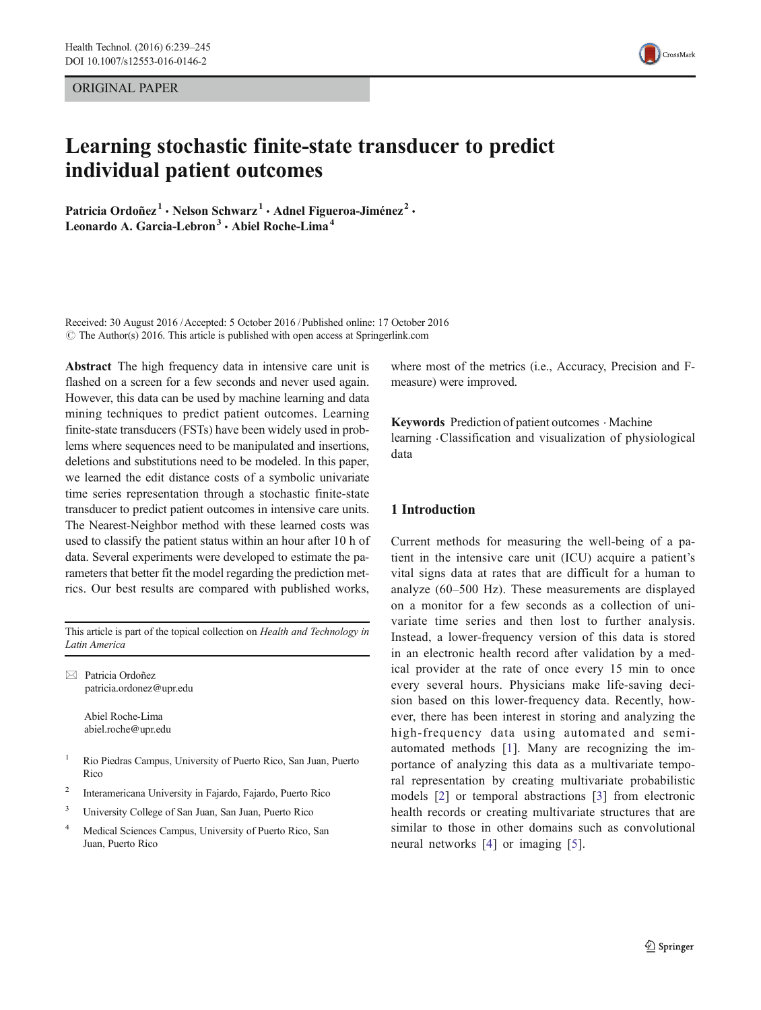ORIGINAL PAPER

# Learning stochastic finite-state transducer to predict individual patient outcomes

Patricia Ordoñez<sup>1</sup> · Nelson Schwarz<sup>1</sup> · Adnel Figueroa-Jiménez<sup>2</sup> · Leonardo A. Garcia-Lebron<sup>3</sup>  $\cdot$  Abiel Roche-Lima<sup>4</sup>

Received: 30 August 2016 /Accepted: 5 October 2016 /Published online: 17 October 2016  $\odot$  The Author(s) 2016. This article is published with open access at Springerlink.com

Abstract The high frequency data in intensive care unit is flashed on a screen for a few seconds and never used again. However, this data can be used by machine learning and data mining techniques to predict patient outcomes. Learning finite-state transducers (FSTs) have been widely used in problems where sequences need to be manipulated and insertions, deletions and substitutions need to be modeled. In this paper, we learned the edit distance costs of a symbolic univariate time series representation through a stochastic finite-state transducer to predict patient outcomes in intensive care units. The Nearest-Neighbor method with these learned costs was used to classify the patient status within an hour after 10 h of data. Several experiments were developed to estimate the parameters that better fit the model regarding the prediction metrics. Our best results are compared with published works,

This article is part of the topical collection on Health and Technology in Latin America

 $\boxtimes$  Patricia Ordoñez patricia.ordonez@upr.edu

> Abiel Roche-Lima abiel.roche@upr.edu

- <sup>1</sup> Rio Piedras Campus, University of Puerto Rico, San Juan, Puerto **Rico**
- <sup>2</sup> Interamericana University in Fajardo, Fajardo, Puerto Rico
- <sup>3</sup> University College of San Juan, San Juan, Puerto Rico
- <sup>4</sup> Medical Sciences Campus, University of Puerto Rico, San Juan, Puerto Rico

where most of the metrics (i.e., Accuracy, Precision and Fmeasure) were improved.

Keywords Prediction of patient outcomes · Machine learning .Classification and visualization of physiological data

# 1 Introduction

Current methods for measuring the well-being of a patient in the intensive care unit (ICU) acquire a patient's vital signs data at rates that are difficult for a human to analyze (60–500 Hz). These measurements are displayed on a monitor for a few seconds as a collection of univariate time series and then lost to further analysis. Instead, a lower-frequency version of this data is stored in an electronic health record after validation by a medical provider at the rate of once every 15 min to once every several hours. Physicians make life-saving decision based on this lower-frequency data. Recently, however, there has been interest in storing and analyzing the high-frequency data using automated and semiautomated methods [[1\]](#page-5-0). Many are recognizing the importance of analyzing this data as a multivariate temporal representation by creating multivariate probabilistic models [\[2\]](#page-5-0) or temporal abstractions [[3](#page-5-0)] from electronic health records or creating multivariate structures that are similar to those in other domains such as convolutional neural networks [[4\]](#page-5-0) or imaging [\[5\]](#page-5-0).

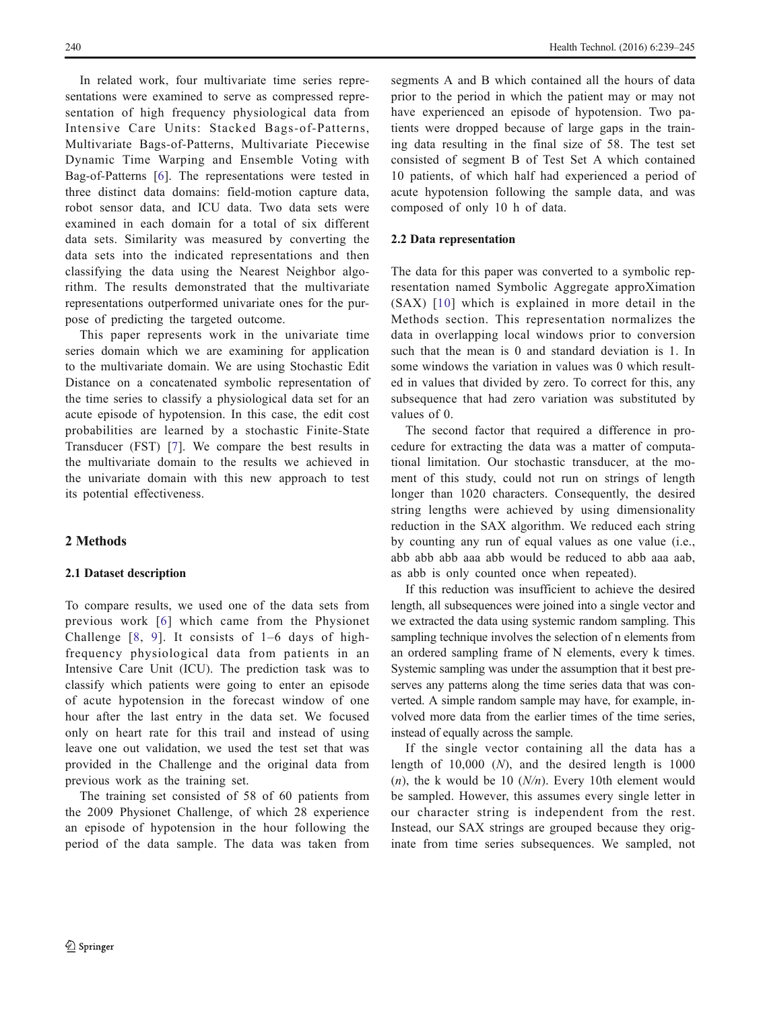<span id="page-1-0"></span>In related work, four multivariate time series representations were examined to serve as compressed representation of high frequency physiological data from Intensive Care Units: Stacked Bags-of-Patterns, Multivariate Bags-of-Patterns, Multivariate Piecewise Dynamic Time Warping and Ensemble Voting with Bag-of-Patterns [[6\]](#page-5-0). The representations were tested in three distinct data domains: field-motion capture data, robot sensor data, and ICU data. Two data sets were examined in each domain for a total of six different data sets. Similarity was measured by converting the data sets into the indicated representations and then classifying the data using the Nearest Neighbor algorithm. The results demonstrated that the multivariate representations outperformed univariate ones for the purpose of predicting the targeted outcome.

This paper represents work in the univariate time series domain which we are examining for application to the multivariate domain. We are using Stochastic Edit Distance on a concatenated symbolic representation of the time series to classify a physiological data set for an acute episode of hypotension. In this case, the edit cost probabilities are learned by a stochastic Finite-State Transducer (FST) [\[7\]](#page-5-0). We compare the best results in the multivariate domain to the results we achieved in the univariate domain with this new approach to test its potential effectiveness.

## 2 Methods

## 2.1 Dataset description

To compare results, we used one of the data sets from previous work [[6](#page-5-0)] which came from the Physionet Challenge [[8,](#page-5-0) [9\]](#page-5-0). It consists of 1–6 days of highfrequency physiological data from patients in an Intensive Care Unit (ICU). The prediction task was to classify which patients were going to enter an episode of acute hypotension in the forecast window of one hour after the last entry in the data set. We focused only on heart rate for this trail and instead of using leave one out validation, we used the test set that was provided in the Challenge and the original data from previous work as the training set.

The training set consisted of 58 of 60 patients from the 2009 Physionet Challenge, of which 28 experience an episode of hypotension in the hour following the period of the data sample. The data was taken from segments A and B which contained all the hours of data prior to the period in which the patient may or may not have experienced an episode of hypotension. Two patients were dropped because of large gaps in the training data resulting in the final size of 58. The test set consisted of segment B of Test Set A which contained 10 patients, of which half had experienced a period of acute hypotension following the sample data, and was composed of only 10 h of data.

## 2.2 Data representation

The data for this paper was converted to a symbolic representation named Symbolic Aggregate approXimation (SAX) [\[10](#page-5-0)] which is explained in more detail in the Methods section. This representation normalizes the data in overlapping local windows prior to conversion such that the mean is 0 and standard deviation is 1. In some windows the variation in values was 0 which resulted in values that divided by zero. To correct for this, any subsequence that had zero variation was substituted by values of 0.

The second factor that required a difference in procedure for extracting the data was a matter of computational limitation. Our stochastic transducer, at the moment of this study, could not run on strings of length longer than 1020 characters. Consequently, the desired string lengths were achieved by using dimensionality reduction in the SAX algorithm. We reduced each string by counting any run of equal values as one value (i.e., abb abb abb aaa abb would be reduced to abb aaa aab, as abb is only counted once when repeated).

If this reduction was insufficient to achieve the desired length, all subsequences were joined into a single vector and we extracted the data using systemic random sampling. This sampling technique involves the selection of n elements from an ordered sampling frame of N elements, every k times. Systemic sampling was under the assumption that it best preserves any patterns along the time series data that was converted. A simple random sample may have, for example, involved more data from the earlier times of the time series, instead of equally across the sample.

If the single vector containing all the data has a length of  $10,000$  (*N*), and the desired length is  $1000$  $(n)$ , the k would be 10  $(N/n)$ . Every 10th element would be sampled. However, this assumes every single letter in our character string is independent from the rest. Instead, our SAX strings are grouped because they originate from time series subsequences. We sampled, not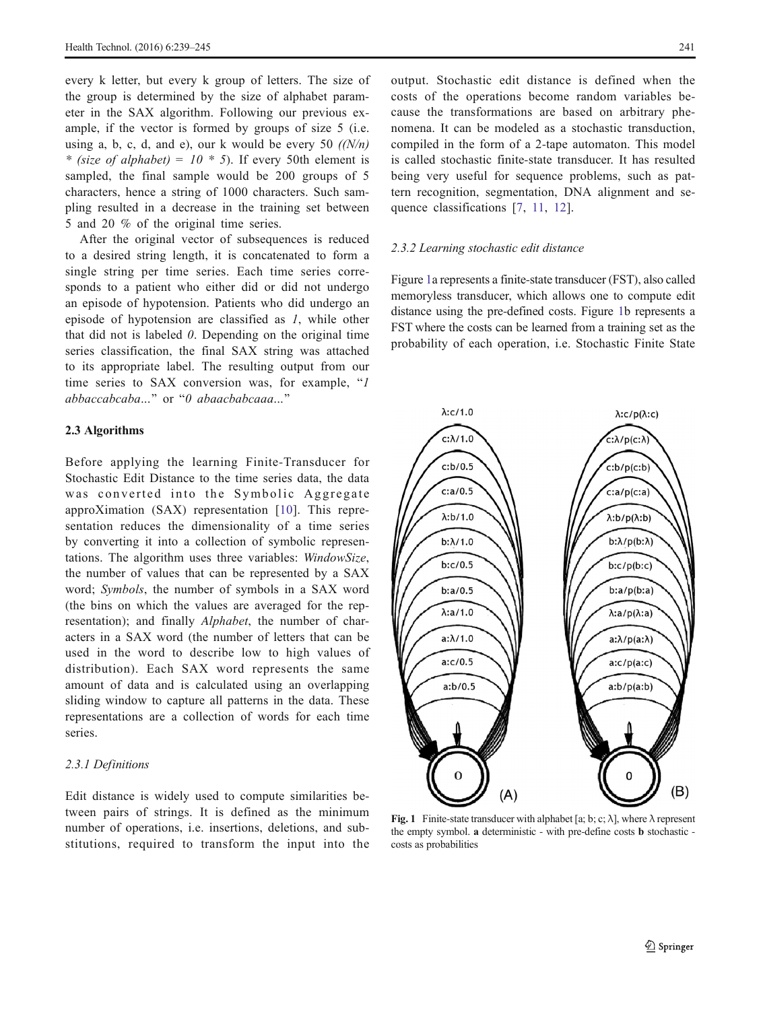every k letter, but every k group of letters. The size of the group is determined by the size of alphabet parameter in the SAX algorithm. Following our previous example, if the vector is formed by groups of size 5 (i.e. using a, b, c, d, and e), our k would be every 50  $(N/n)$ \* (size of alphabet) =  $10 * 5$ ). If every 50th element is sampled, the final sample would be 200 groups of 5 characters, hence a string of 1000 characters. Such sampling resulted in a decrease in the training set between 5 and 20 % of the original time series.

After the original vector of subsequences is reduced to a desired string length, it is concatenated to form a single string per time series. Each time series corresponds to a patient who either did or did not undergo an episode of hypotension. Patients who did undergo an episode of hypotension are classified as 1, while other that did not is labeled  $0$ . Depending on the original time series classification, the final SAX string was attached to its appropriate label. The resulting output from our time series to SAX conversion was, for example,  $I$  $abbaccabcaba...$ " or " $0$  abaacbabcaaa..."

## 2.3 Algorithms

Before applying the learning Finite-Transducer for Stochastic Edit Distance to the time series data, the data was converted into the Symbolic Aggregate approXimation (SAX) representation [[10](#page-5-0)]. This representation reduces the dimensionality of a time series by converting it into a collection of symbolic representations. The algorithm uses three variables: WindowSize, the number of values that can be represented by a SAX word; Symbols, the number of symbols in a SAX word (the bins on which the values are averaged for the representation); and finally Alphabet, the number of characters in a SAX word (the number of letters that can be used in the word to describe low to high values of distribution). Each SAX word represents the same amount of data and is calculated using an overlapping sliding window to capture all patterns in the data. These representations are a collection of words for each time series.

# 2.3.1 Definitions

Edit distance is widely used to compute similarities between pairs of strings. It is defined as the minimum number of operations, i.e. insertions, deletions, and substitutions, required to transform the input into the output. Stochastic edit distance is defined when the costs of the operations become random variables because the transformations are based on arbitrary phenomena. It can be modeled as a stochastic transduction, compiled in the form of a 2-tape automaton. This model is called stochastic finite-state transducer. It has resulted being very useful for sequence problems, such as pattern recognition, segmentation, DNA alignment and se-quence classifications [\[7](#page-5-0), [11](#page-6-0), [12\]](#page-6-0).

#### 2.3.2 Learning stochastic edit distance

Figure 1a represents a finite-state transducer (FST), also called memoryless transducer, which allows one to compute edit distance using the pre-defined costs. Figure 1b represents a FST where the costs can be learned from a training set as the probability of each operation, i.e. Stochastic Finite State



Fig. 1 Finite-state transducer with alphabet [a; b; c;  $\lambda$ ], where  $\lambda$  represent the empty symbol. a deterministic - with pre-define costs b stochastic costs as probabilities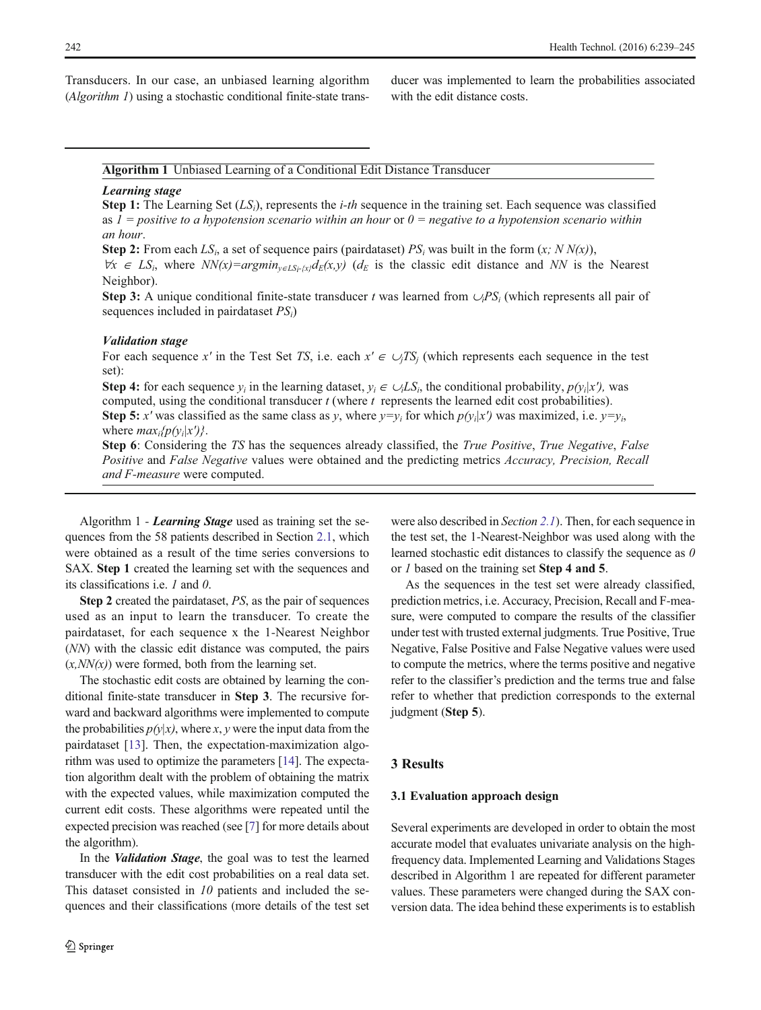Transducers. In our case, an unbiased learning algorithm (Algorithm 1) using a stochastic conditional finite-state transducer was implemented to learn the probabilities associated with the edit distance costs.

#### **Algorithm 1** Unbiased Learning of a Conditional Edit Distance Transducer

#### *Learning stage*

**Step 1:** The Learning Set (*LSi*), represents the *i-th* sequence in the training set. Each sequence was classified as *1 = positive to a hypotension scenario within an hour* or *0 = negative to a hypotension scenario within an hour*.

**Step 2:** From each  $LS_i$ , a set of sequence pairs (pairdataset)  $PS_i$  was built in the form  $(x; NN(x))$ ,

 $∀x ∈ LS<sub>i</sub>$ , where  $NN(x) = argmin_{v ∈ LS<sub>i</sub> | x | dE}(x, y)$  ( $d<sub>E</sub>$  is the classic edit distance and *NN* is the Nearest Neighbor).

**Step 3:** A unique conditional finite-state transducer *t* was learned from ∪*iPSi* (which represents all pair of sequences included in pairdataset *PSi*)

#### *Validation stage*

For each sequence *x'* in the Test Set *TS*, i.e. each  $x' \in \bigcup_{i} TS_i$  (which represents each sequence in the test set):

**Step 4:** for each sequence  $y_i$  in the learning dataset,  $y_i \in \bigcup L S_i$ , the conditional probability,  $p(y_i|x')$ , was computed, using the conditional transducer *t* (where *t* represents the learned edit cost probabilities). **Step 5:** *x'* was classified as the same class as *y*, where  $y=y_i$  for which  $p(y_i|x')$  was maximized, i.e.  $y=y_i$ , where  $max_i\{p(v_i|x')\}$ .

**Step 6**: Considering the *TS* has the sequences already classified, the *True Positive*, *True Negative*, *False Positive* and *False Negative* values were obtained and the predicting metrics *Accuracy, Precision, Recall and F-measure* were computed.

Algorithm 1 - Learning Stage used as training set the sequences from the 58 patients described in Section [2.1](#page-1-0), which were obtained as a result of the time series conversions to SAX. Step 1 created the learning set with the sequences and its classifications i.e. 1 and 0.

Step 2 created the pairdataset, PS, as the pair of sequences used as an input to learn the transducer. To create the pairdataset, for each sequence x the 1-Nearest Neighbor (NN) with the classic edit distance was computed, the pairs  $(x, NN(x))$  were formed, both from the learning set.

The stochastic edit costs are obtained by learning the conditional finite-state transducer in Step 3. The recursive forward and backward algorithms were implemented to compute the probabilities  $p(y|x)$ , where x, y were the input data from the pairdataset [[13](#page-6-0)]. Then, the expectation-maximization algorithm was used to optimize the parameters [\[14\]](#page-6-0). The expectation algorithm dealt with the problem of obtaining the matrix with the expected values, while maximization computed the current edit costs. These algorithms were repeated until the expected precision was reached (see [\[7\]](#page-5-0) for more details about the algorithm).

In the Validation Stage, the goal was to test the learned transducer with the edit cost probabilities on a real data set. This dataset consisted in 10 patients and included the sequences and their classifications (more details of the test set were also described in Section [2.1](#page-1-0)). Then, for each sequence in the test set, the 1-Nearest-Neighbor was used along with the learned stochastic edit distances to classify the sequence as  $0$ or 1 based on the training set Step 4 and 5.

As the sequences in the test set were already classified, prediction metrics, i.e. Accuracy, Precision, Recall and F-measure, were computed to compare the results of the classifier under test with trusted external judgments. True Positive, True Negative, False Positive and False Negative values were used to compute the metrics, where the terms positive and negative refer to the classifier's prediction and the terms true and false refer to whether that prediction corresponds to the external judgment (Step 5).

## 3 Results

## 3.1 Evaluation approach design

Several experiments are developed in order to obtain the most accurate model that evaluates univariate analysis on the highfrequency data. Implemented Learning and Validations Stages described in Algorithm 1 are repeated for different parameter values. These parameters were changed during the SAX conversion data. The idea behind these experiments is to establish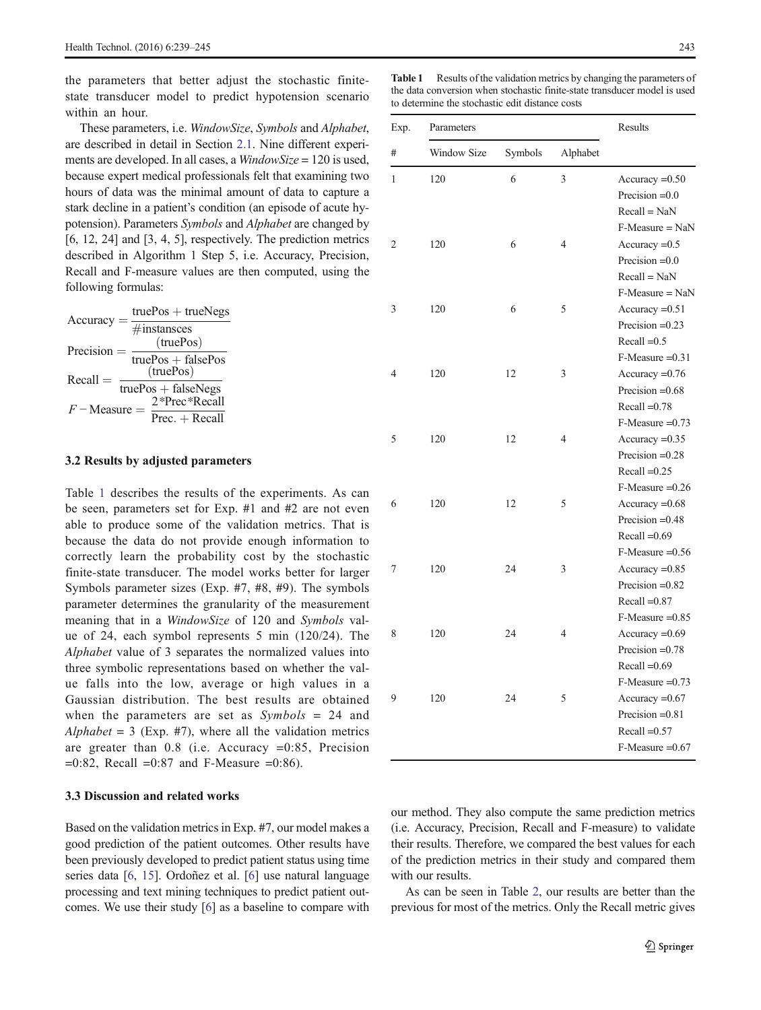the parameters that better adjust the stochastic finitestate transducer model to predict hypotension scenario within an hour.

These parameters, i.e. WindowSize, Symbols and Alphabet, are described in detail in Section [2.1.](#page-1-0) Nine different experiments are developed. In all cases, a *WindowSize* = 120 is used, because expert medical professionals felt that examining two hours of data was the minimal amount of data to capture a stark decline in a patient's condition (an episode of acute hypotension). Parameters Symbols and Alphabet are changed by [6, 12, 24] and [3, 4, 5], respectively. The prediction metrics described in Algorithm 1 Step 5, i.e. Accuracy, Precision, Recall and F-measure values are then computed, using the following formulas:

$$
Accuracy = \frac{\text{truePos} + \text{trueNegs}}{\text{4instances}}
$$
\n
$$
Precision = \frac{(\text{truePos})}{\text{truePos} + \text{falsePos}}
$$
\n
$$
Recall = \frac{(\text{truePos})}{\text{truePos} + \text{falseNegs}}
$$
\n
$$
F - \text{Measure} = \frac{2* \text{Prec} * \text{Recall}}{\text{Prec} + \text{Recall}}
$$

# 3.2 Results by adjusted parameters

Table 1 describes the results of the experiments. As can be seen, parameters set for Exp. #1 and #2 are not even able to produce some of the validation metrics. That is because the data do not provide enough information to correctly learn the probability cost by the stochastic finite-state transducer. The model works better for larger Symbols parameter sizes (Exp. #7, #8, #9). The symbols parameter determines the granularity of the measurement meaning that in a WindowSize of 120 and Symbols value of 24, each symbol represents 5 min (120/24). The Alphabet value of 3 separates the normalized values into three symbolic representations based on whether the value falls into the low, average or high values in a Gaussian distribution. The best results are obtained when the parameters are set as  $Symbols = 24$  and Alphabet =  $3$  (Exp. #7), where all the validation metrics are greater than 0.8 (i.e. Accuracy =0:85, Precision  $=0:82$ , Recall  $=0:87$  and F-Measure  $=0:86$ ).

# 3.3 Discussion and related works

Based on the validation metrics in Exp. #7, our model makes a good prediction of the patient outcomes. Other results have been previously developed to predict patient status using time series data [[6,](#page-5-0) [15\]](#page-6-0). Ordoñez et al. [[6](#page-5-0)] use natural language processing and text mining techniques to predict patient outcomes. We use their study [[6\]](#page-5-0) as a baseline to compare with

Table 1 Results of the validation metrics by changing the parameters of the data conversion when stochastic finite-state transducer model is used to determine the stochastic edit distance costs

| Exp.<br># | Parameters  |         |                | Results                              |
|-----------|-------------|---------|----------------|--------------------------------------|
|           | Window Size | Symbols | Alphabet       |                                      |
| 1         | 120         | 6       | 3              | Accuracy $=0.50$<br>Precision $=0.0$ |
|           |             |         |                | $Recall = NaN$                       |
|           |             |         |                | $F-Measure = NaN$                    |
| 2         | 120         | 6       | $\overline{4}$ | Accuracy $=0.5$                      |
|           |             |         |                | Precision $=0.0$                     |
|           |             |         |                | $Recall = NaN$                       |
|           |             |         |                | $F-Measure = NaN$                    |
| 3         | 120         | 6       | 5              | Accuracy $=0.51$                     |
|           |             |         |                | Precision $=0.23$                    |
|           |             |         |                | Recall $=0.5$                        |
|           |             |         |                | $F-Measure = 0.31$                   |
| 4         | 120         | 12      | 3              | Accuracy $=0.76$                     |
|           |             |         |                | Precision $=0.68$                    |
|           |             |         |                | $Recall = 0.78$                      |
|           |             |         |                | $F-Measure = 0.73$                   |
| 5         | 120         | 12      | $\overline{4}$ | Accuracy $=0.35$                     |
|           |             |         |                | Precision $=0.28$                    |
|           |             |         |                | Recall $=0.25$                       |
|           |             |         |                | $F-Measure = 0.26$                   |
| 6         | 120         | 12      | 5              | $Accuracy = 0.68$                    |
|           |             |         |                | Precision $=0.48$                    |
|           |             |         |                | Recall $=0.69$                       |
|           |             |         |                | $F-Measure = 0.56$                   |
| 7         | 120         | 24      | 3              | $Accuracy = 0.85$                    |
|           |             |         |                | Precision $=0.82$                    |
|           |             |         |                | $Recall = 0.87$                      |
|           |             |         |                | $F-Measure = 0.85$                   |
| 8         | 120         | 24      | $\overline{4}$ | $Accuracy = 0.69$                    |
|           |             |         |                | Precision $=0.78$                    |
|           |             |         |                | Recall $=0.69$                       |
|           |             |         |                | $F-Measure = 0.73$                   |
| 9         | 120         | 24      | 5              | Accuracy $=0.67$                     |
|           |             |         |                | Precision $=0.81$                    |
|           |             |         |                | Recall $=0.57$                       |
|           |             |         |                | $F-Measure = 0.67$                   |
|           |             |         |                |                                      |

our method. They also compute the same prediction metrics (i.e. Accuracy, Precision, Recall and F-measure) to validate their results. Therefore, we compared the best values for each of the prediction metrics in their study and compared them with our results.

As can be seen in Table [2,](#page-5-0) our results are better than the previous for most of the metrics. Only the Recall metric gives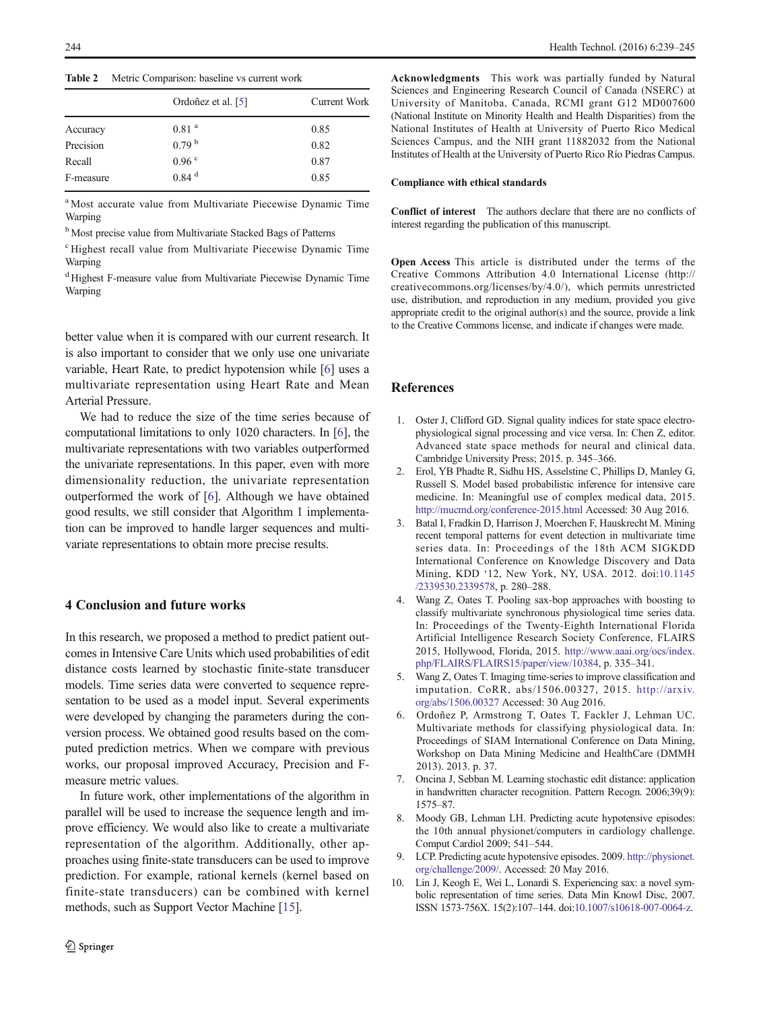<span id="page-5-0"></span>Table 2 Metric Comparison: baseline vs current work

|           | Ordoñez et al. [5]  | Current Work |
|-----------|---------------------|--------------|
| Accuracy  | 0.81 <sup>a</sup>   | 0.85         |
| Precision | 0.79 <sup>b</sup>   | 0.82         |
| Recall    | 0.96 °              | 0.87         |
| F-measure | $0.84$ <sup>d</sup> | 0.85         |

<sup>a</sup> Most accurate value from Multivariate Piecewise Dynamic Time Warping

<sup>b</sup> Most precise value from Multivariate Stacked Bags of Patterns

<sup>c</sup> Highest recall value from Multivariate Piecewise Dynamic Time Warping

<sup>d</sup> Highest F-measure value from Multivariate Piecewise Dynamic Time Warping

better value when it is compared with our current research. It is also important to consider that we only use one univariate variable, Heart Rate, to predict hypotension while [6] uses a multivariate representation using Heart Rate and Mean Arterial Pressure.

We had to reduce the size of the time series because of computational limitations to only 1020 characters. In [6], the multivariate representations with two variables outperformed the univariate representations. In this paper, even with more dimensionality reduction, the univariate representation outperformed the work of [6]. Although we have obtained good results, we still consider that Algorithm 1 implementation can be improved to handle larger sequences and multivariate representations to obtain more precise results.

# 4 Conclusion and future works

In this research, we proposed a method to predict patient outcomes in Intensive Care Units which used probabilities of edit distance costs learned by stochastic finite-state transducer models. Time series data were converted to sequence representation to be used as a model input. Several experiments were developed by changing the parameters during the conversion process. We obtained good results based on the computed prediction metrics. When we compare with previous works, our proposal improved Accuracy, Precision and Fmeasure metric values.

In future work, other implementations of the algorithm in parallel will be used to increase the sequence length and improve efficiency. We would also like to create a multivariate representation of the algorithm. Additionally, other approaches using finite-state transducers can be used to improve prediction. For example, rational kernels (kernel based on finite-state transducers) can be combined with kernel methods, such as Support Vector Machine [\[15\]](#page-6-0).

Acknowledgments This work was partially funded by Natural Sciences and Engineering Research Council of Canada (NSERC) at University of Manitoba, Canada, RCMI grant G12 MD007600 (National Institute on Minority Health and Health Disparities) from the National Institutes of Health at University of Puerto Rico Medical Sciences Campus, and the NIH grant 11882032 from the National Institutes of Health at the University of Puerto Rico Río Piedras Campus.

#### Compliance with ethical standards

Conflict of interest The authors declare that there are no conflicts of interest regarding the publication of this manuscript.

Open Access This article is distributed under the terms of the Creative Commons Attribution 4.0 International License (http:// creativecommons.org/licenses/by/4.0/), which permits unrestricted use, distribution, and reproduction in any medium, provided you give appropriate credit to the original author(s) and the source, provide a link to the Creative Commons license, and indicate if changes were made.

# References

- 1. Oster J, Clifford GD. Signal quality indices for state space electrophysiological signal processing and vice versa. In: Chen Z, editor. Advanced state space methods for neural and clinical data. Cambridge University Press; 2015. p. 345–366.
- 2. Erol, YB Phadte R, Sidhu HS, Asselstine C, Phillips D, Manley G, Russell S. Model based probabilistic inference for intensive care medicine. In: Meaningful use of complex medical data, 2015. <http://mucmd.org/conference-2015.html> Accessed: 30 Aug 2016.
- 3. Batal I, Fradkin D, Harrison J, Moerchen F, Hauskrecht M. Mining recent temporal patterns for event detection in multivariate time series data. In: Proceedings of the 18th ACM SIGKDD International Conference on Knowledge Discovery and Data Mining, KDD '12, New York, NY, USA. 2012. doi:[10.1145](http://dx.doi.org/10.1145/2339530.2339578) [/2339530.2339578](http://dx.doi.org/10.1145/2339530.2339578), p. 280–288.
- 4. Wang Z, Oates T. Pooling sax-bop approaches with boosting to classify multivariate synchronous physiological time series data. In: Proceedings of the Twenty-Eighth International Florida Artificial Intelligence Research Society Conference, FLAIRS 2015, Hollywood, Florida, 2015. [http://www.aaai.org/ocs/index.](http://www.aaai.org/ocs/index.php/FLAIRS/FLAIRS15/paper/view/10384) [php/FLAIRS/FLAIRS15/paper/view/10384](http://www.aaai.org/ocs/index.php/FLAIRS/FLAIRS15/paper/view/10384), p. 335–341.
- 5. Wang Z, Oates T. Imaging time-series to improve classification and imputation. CoRR, abs/1506.00327, 2015. [http://arxiv.](http://arxiv.org/abs/1506.00327) [org/abs/1506.00327](http://arxiv.org/abs/1506.00327) Accessed: 30 Aug 2016.
- 6. Ordoñez P, Armstrong T, Oates T, Fackler J, Lehman UC. Multivariate methods for classifying physiological data. In: Proceedings of SIAM International Conference on Data Mining, Workshop on Data Mining Medicine and HealthCare (DMMH 2013). 2013. p. 37.
- 7. Oncina J, Sebban M. Learning stochastic edit distance: application in handwritten character recognition. Pattern Recogn. 2006;39(9): 1575–87.
- 8. Moody GB, Lehman LH. Predicting acute hypotensive episodes: the 10th annual physionet/computers in cardiology challenge. Comput Cardiol 2009; 541–544.
- 9. LCP. Predicting acute hypotensive episodes. 2009. [http://physionet.](http://physionet.org/challenge/2009/) [org/challenge/2009/.](http://physionet.org/challenge/2009/) Accessed: 20 May 2016.
- 10. Lin J, Keogh E, Wei L, Lonardi S. Experiencing sax: a novel symbolic representation of time series. Data Min Knowl Disc, 2007. ISSN 1573-756X. 15(2):107–144. doi:[10.1007/s10618-007-0064-z.](http://dx.doi.org/10.1007/s10618-007-0064-z)